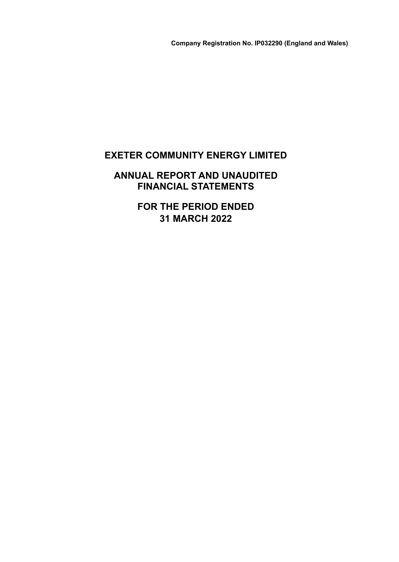**Company Registration No. IP032290 (England and Wales)**

# **EXETER COMMUNITY ENERGY LIMITED**

### **ANNUAL REPORT AND UNAUDITED FINANCIAL STATEMENTS**

**FOR THE PERIOD ENDED 31 MARCH 2022**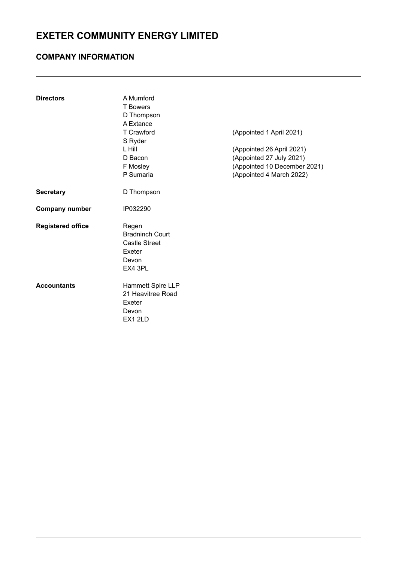### **COMPANY INFORMATION**

| <b>Directors</b>         | A Mumford<br><b>T</b> Bowers<br>D Thompson<br>A Extance                               |                                                                                                                   |
|--------------------------|---------------------------------------------------------------------------------------|-------------------------------------------------------------------------------------------------------------------|
|                          | <b>T</b> Crawford<br>S Ryder                                                          | (Appointed 1 April 2021)                                                                                          |
|                          | L Hill<br>D Bacon<br>F Mosley<br>P Sumaria                                            | (Appointed 26 April 2021)<br>(Appointed 27 July 2021)<br>(Appointed 10 December 2021)<br>(Appointed 4 March 2022) |
| <b>Secretary</b>         | D Thompson                                                                            |                                                                                                                   |
| <b>Company number</b>    | IP032290                                                                              |                                                                                                                   |
| <b>Registered office</b> | Regen<br><b>Bradninch Court</b><br><b>Castle Street</b><br>Exeter<br>Devon<br>EX4 3PL |                                                                                                                   |
| <b>Accountants</b>       | Hammett Spire LLP<br>21 Heavitree Road<br>Exeter<br>Devon<br>EX1 2LD                  |                                                                                                                   |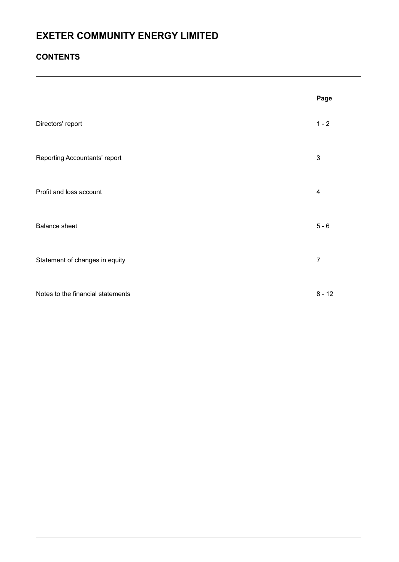### **CONTENTS**

|                                   | Page                      |
|-----------------------------------|---------------------------|
| Directors' report                 | $1 - 2$                   |
| Reporting Accountants' report     | $\ensuremath{\mathsf{3}}$ |
| Profit and loss account           | $\overline{\mathbf{4}}$   |
| <b>Balance sheet</b>              | $5 - 6$                   |
| Statement of changes in equity    | $\overline{7}$            |
| Notes to the financial statements | $8 - 12$                  |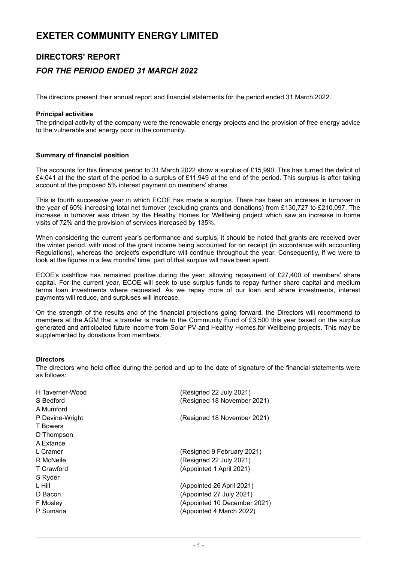# **DIRECTORS' REPORT**

### *FOR THE PERIOD ENDED 31 MARCH 2022*

The directors present their annual report and financial statements for the period ended 31 March 2022.

#### **Principal activities**

The principal activity of the company were the renewable energy projects and the provision of free energy advice to the vulnerable and energy poor in the community.

#### **Summary of financial position**

The accounts for this financial period to 31 March 2022 show a surplus of £15,990, This has turned the deficit of  $£4,041$  at the the start of the period to a surplus of £11,949 at the end of the period. This surplus is after taking account of the proposed 5% interest payment on members' shares.

This is fourth successive year in which ECOE has made a surplus. There has been an increase in turnover in the year of 60% increasing total net turnover (excluding grants and donations) from £130,727 to £210,097. The increase in turnover was driven by the Healthy Homes for Wellbeing project which saw an increase in home visits of 72% and the provision of services increased by 135%.

When considering the current year's performance and surplus, it should be noted that grants are received over the winter period, with most of the grant income being accounted for on receipt (in accordance with accounting Regulations), whereas the project's expenditure will continue throughout the year. Consequently, if we were to look at the figures in a few months' time, part of that surplus will have been spent.

ECOE's cashflow has remained positive during the year, allowing repayment of £27,400 of members' share capital. For the current year, ECOE will seek to use surplus funds to repay further share capital and medium terms loan investments where requested. As we repay more of our loan and share investments, interest payments will reduce, and surpluses will increase.

On the strength of the results and of the financial projections going forward, the Directors will recommend to members at the AGM that a transfer is made to the Community Fund of £3,500 this year based on the surplus generated and anticipated future income from Solar PV and Healthy Homes for Wellbeing projects. This may be supplemented by donations from members.

#### **Directors**

The directors who held office during the period and up to the date of signature of the financial statements were as follows:

| H Taverner-Wood | (Resigned 22 July 2021)      |
|-----------------|------------------------------|
| S Bedford       | (Resigned 18 November 2021)  |
| A Mumford       |                              |
| P Devine-Wright | (Resigned 18 November 2021)  |
| <b>T</b> Bowers |                              |
| D Thompson      |                              |
| A Extance       |                              |
| L Cramer        | (Resigned 9 February 2021)   |
| R McNeile       | (Resigned 22 July 2021)      |
| T Crawford      | (Appointed 1 April 2021)     |
| S Ryder         |                              |
| L Hill          | (Appointed 26 April 2021)    |
| D Bacon         | (Appointed 27 July 2021)     |
| F Mosley        | (Appointed 10 December 2021) |
| P Sumaria       | (Appointed 4 March 2022)     |
|                 |                              |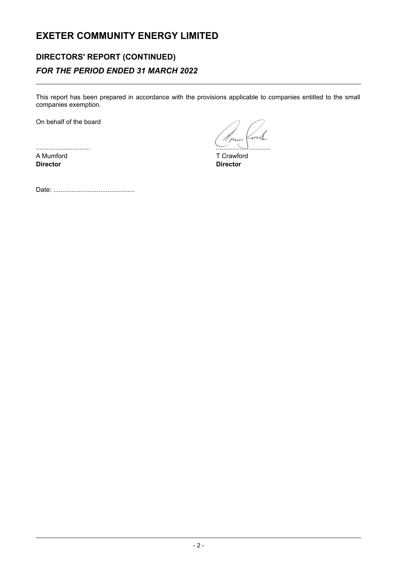# **DIRECTORS' REPORT (CONTINUED)** *FOR THE PERIOD ENDED 31 MARCH 2022*

This report has been prepared in accordance with the provisions applicable to companies entitled to the small companies exemption.

On behalf of the board

.............................. .............................. A Mumford<br>
Director<br>
Director<br>
Crawford<br>
Director **Director Director**

ruw

Date: .............................................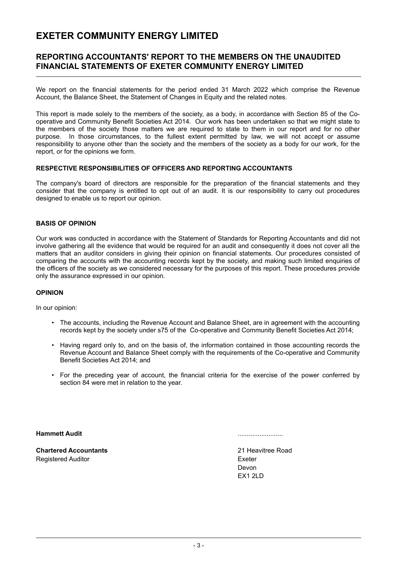### **REPORTING ACCOUNTANTS' REPORT TO THE MEMBERS ON THE UNAUDITED FINANCIAL STATEMENTS OF EXETER COMMUNITY ENERGY LIMITED**

We report on the financial statements for the period ended 31 March 2022 which comprise the Revenue Account, the Balance Sheet, the Statement of Changes in Equity and the related notes.

This report is made solely to the members of the society, as a body, in accordance with Section 85 of the Cooperative and Community Benefit Societies Act 2014. Our work has been undertaken so that we might state to the members of the society those matters we are required to state to them in our report and for no other purpose. In those circumstances, to the fullest extent permitted by law, we will not accept or assume responsibility to anyone other than the society and the members of the society as a body for our work, for the report, or for the opinions we form.

#### **RESPECTIVE RESPONSIBILITIES OF OFFICERS AND REPORTING ACCOUNTANTS**

The company's board of directors are responsible for the preparation of the financial statements and they consider that the company is entitled to opt out of an audit. It is our responsibility to carry out procedures designed to enable us to report our opinion.

#### **BASIS OF OPINION**

Our work was conducted in accordance with the Statement of Standards for Reporting Accountants and did not involve gathering all the evidence that would be required for an audit and consequently it does not cover all the matters that an auditor considers in giving their opinion on financial statements. Our procedures consisted of comparing the accounts with the accounting records kept by the society, and making such limited enquiries of the officers of the society as we considered necessary for the purposes of this report. These procedures provide only the assurance expressed in our opinion.

#### **OPINION**

In our opinion:

- The accounts, including the Revenue Account and Balance Sheet, are in agreement with the accounting records kept by the society under s75 of the Co-operative and Community Benefit Societies Act 2014;
- Having regard only to, and on the basis of, the information contained in those accounting records the Revenue Account and Balance Sheet comply with the requirements of the Co-operative and Community Benefit Societies Act 2014; and
- For the preceding year of account, the financial criteria for the exercise of the power conferred by section 84 were met in relation to the year.

**Hammett Audit** .........................

**Chartered Accountants** 21 Heavitree Road Registered Auditor **Exeter Exeter** 

Devon EX1 2LD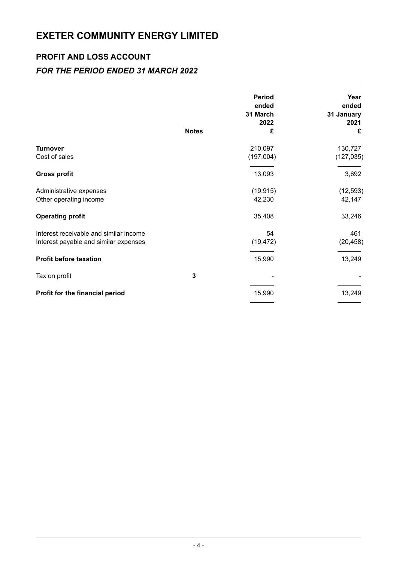### **PROFIT AND LOSS ACCOUNT**

### *FOR THE PERIOD ENDED 31 MARCH 2022*

|                                                                                 | <b>Notes</b> | <b>Period</b><br>ended<br>31 March<br>2022<br>£ | Year<br>ended<br>31 January<br>2021<br>£ |
|---------------------------------------------------------------------------------|--------------|-------------------------------------------------|------------------------------------------|
| <b>Turnover</b><br>Cost of sales                                                |              | 210,097<br>(197,004)                            | 130,727<br>(127, 035)                    |
| <b>Gross profit</b>                                                             |              | 13,093                                          | 3,692                                    |
| Administrative expenses<br>Other operating income                               |              | (19, 915)<br>42,230                             | (12, 593)<br>42,147                      |
| <b>Operating profit</b>                                                         |              | 35,408                                          | 33,246                                   |
| Interest receivable and similar income<br>Interest payable and similar expenses |              | 54<br>(19, 472)                                 | 461<br>(20, 458)                         |
| <b>Profit before taxation</b>                                                   |              | 15,990                                          | 13,249                                   |
| Tax on profit                                                                   | 3            |                                                 |                                          |
| Profit for the financial period                                                 |              | 15,990                                          | 13,249                                   |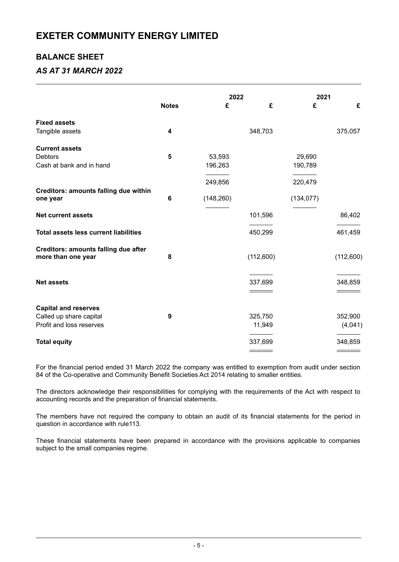### **BALANCE SHEET**

### *AS AT 31 MARCH 2022*

|                                                                   |                         |            | 2022      |            | 2021      |  |
|-------------------------------------------------------------------|-------------------------|------------|-----------|------------|-----------|--|
|                                                                   | <b>Notes</b>            | £          | £         | £          | £         |  |
| <b>Fixed assets</b>                                               |                         |            |           |            |           |  |
| Tangible assets                                                   | $\overline{\mathbf{4}}$ |            | 348,703   |            | 375,057   |  |
| <b>Current assets</b>                                             |                         |            |           |            |           |  |
| <b>Debtors</b>                                                    | 5                       | 53,593     |           | 29,690     |           |  |
| Cash at bank and in hand                                          |                         | 196,263    |           | 190,789    |           |  |
|                                                                   |                         |            |           |            |           |  |
|                                                                   |                         | 249,856    |           | 220,479    |           |  |
| <b>Creditors: amounts falling due within</b>                      |                         |            |           |            |           |  |
| one year                                                          | 6                       | (148, 260) |           | (134, 077) |           |  |
| <b>Net current assets</b>                                         |                         |            | 101,596   |            | 86,402    |  |
| <b>Total assets less current liabilities</b>                      |                         |            | 450,299   |            | 461,459   |  |
| <b>Creditors: amounts falling due after</b><br>more than one year | 8                       |            | (112,600) |            | (112,600) |  |
|                                                                   |                         |            |           |            |           |  |
| <b>Net assets</b>                                                 |                         |            | 337,699   |            | 348,859   |  |
|                                                                   |                         |            |           |            |           |  |
| <b>Capital and reserves</b>                                       |                         |            |           |            |           |  |
| Called up share capital                                           | 9                       |            | 325,750   |            | 352,900   |  |
| Profit and loss reserves                                          |                         |            | 11,949    |            | (4,041)   |  |
|                                                                   |                         |            |           |            |           |  |
| <b>Total equity</b>                                               |                         |            | 337,699   |            | 348,859   |  |
|                                                                   |                         |            |           |            |           |  |

For the financial period ended 31 March 2022 the company was entitled to exemption from audit under section 84 of the Co-operative and Community Benefit Societies Act 2014 relating to smaller entities.

The directors acknowledge their responsibilities for complying with the requirements of the Act with respect to accounting records and the preparation of financial statements.

The members have not required the company to obtain an audit of its financial statements for the period in question in accordance with rule113.

These financial statements have been prepared in accordance with the provisions applicable to companies subject to the small companies regime.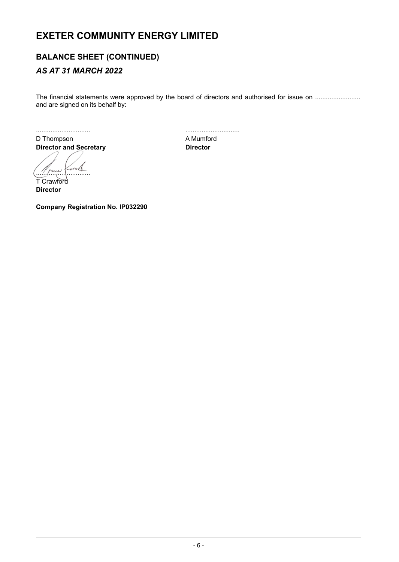### **BALANCE SHEET (CONTINUED)**

### *AS AT 31 MARCH 2022*

The financial statements were approved by the board of directors and authorised for issue on ....................... and are signed on its behalf by:

.............................. .............................. D Thompson A Mumford **Director and Secretary <b>Director** 

1 Mai Lord T Crawford **Director**

**Company Registration No. IP032290**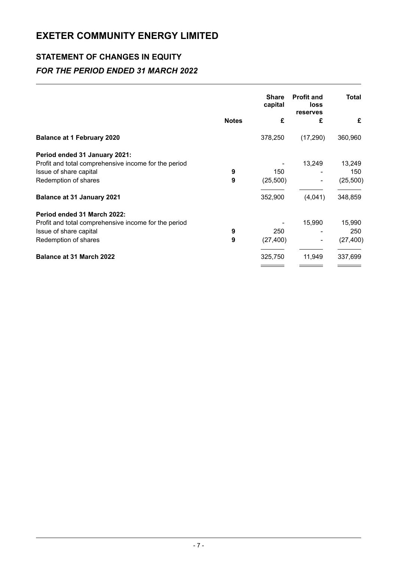# **STATEMENT OF CHANGES IN EQUITY** *FOR THE PERIOD ENDED 31 MARCH 2022*

|                                                      |              | <b>Share</b><br>capital | <b>Profit and</b><br>loss<br>reserves | Total     |
|------------------------------------------------------|--------------|-------------------------|---------------------------------------|-----------|
|                                                      | <b>Notes</b> | £                       | £                                     | £         |
| <b>Balance at 1 February 2020</b>                    |              | 378,250                 | (17, 290)                             | 360,960   |
| Period ended 31 January 2021:                        |              |                         |                                       |           |
| Profit and total comprehensive income for the period |              |                         | 13,249                                | 13,249    |
| Issue of share capital                               | 9            | 150                     |                                       | 150       |
| Redemption of shares                                 | 9            | (25,500)                |                                       | (25,500)  |
| <b>Balance at 31 January 2021</b>                    |              | 352,900                 | (4,041)                               | 348,859   |
| Period ended 31 March 2022:                          |              |                         |                                       |           |
| Profit and total comprehensive income for the period |              |                         | 15,990                                | 15,990    |
| Issue of share capital                               | 9            | 250                     |                                       | 250       |
| Redemption of shares                                 | 9            | (27, 400)               |                                       | (27, 400) |
| <b>Balance at 31 March 2022</b>                      |              | 325,750                 | 11,949                                | 337,699   |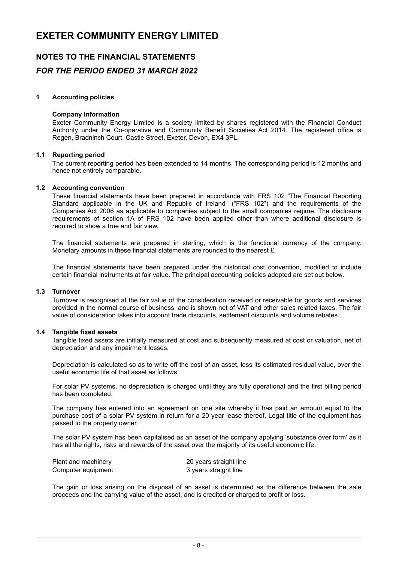# **NOTES TO THE FINANCIAL STATEMENTS**

### *FOR THE PERIOD ENDED 31 MARCH 2022*

#### **1 Accounting policies**

#### **Company information**

Exeter Community Energy Limited is a society limited by shares registered with the Financial Conduct Authority under the Co-operative and Community Benefit Societies Act 2014. The registered office is Regen, Bradninch Court, Castle Street, Exeter, Devon, EX4 3PL.

#### **1.1 Reporting period**

The current reporting period has been extended to 14 months. The corresponding period is 12 months and hence not entirely comparable.

#### **1.2 Accounting convention**

These financial statements have been prepared in accordance with FRS 102 "The Financial Reporting Standard applicable in the UK and Republic of Ireland" ("FRS 102") and the requirements of the Companies Act 2006 as applicable to companies subject to the small companies regime. The disclosure requirements of section 1A of FRS 102 have been applied other than where additional disclosure is required to show a true and fair view.

The financial statements are prepared in sterling, which is the functional currency of the company. Monetary amounts in these financial statements are rounded to the nearest £.

The financial statements have been prepared under the historical cost convention, modified to include certain financial instruments at fair value. The principal accounting policies adopted are set out below.

#### **1.3 Turnover**

Turnover is recognised at the fair value of the consideration received or receivable for goods and services provided in the normal course of business, and is shown net of VAT and other sales related taxes. The fair value of consideration takes into account trade discounts, settlement discounts and volume rebates.

### **1.4 Tangible fixed assets**

Tangible fixed assets are initially measured at cost and subsequently measured at cost or valuation, net of depreciation and any impairment losses.

Depreciation is calculated so as to write off the cost of an asset, less its estimated residual value, over the useful economic life of that asset as follows:

For solar PV systems, no depreciation is charged until they are fully operational and the first billing period has been completed.

The company has entered into an agreement on one site whereby it has paid an amount equal to the purchase cost of a solar PV system in return for a 20 year lease thereof. Legal title of the equipment has passed to the property owner.

The solar PV system has been capitalised as an asset of the company applying 'substance over form' as it has all the rights, risks and rewards of the asset over the majority of its useful economic life.

| Plant and machinery | 20 years straight line |
|---------------------|------------------------|
| Computer equipment  | 3 years straight line  |

The gain or loss arising on the disposal of an asset is determined as the difference between the sale proceeds and the carrying value of the asset, and is credited or charged to profit or loss.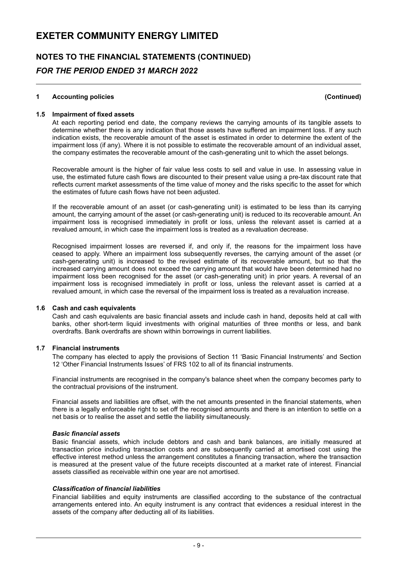# **NOTES TO THE FINANCIAL STATEMENTS (CONTINUED)** *FOR THE PERIOD ENDED 31 MARCH 2022*

#### **1 Accounting policies (Continued)**

#### **1.5 Impairment of fixed assets**

At each reporting period end date, the company reviews the carrying amounts of its tangible assets to determine whether there is any indication that those assets have suffered an impairment loss. If any such indication exists, the recoverable amount of the asset is estimated in order to determine the extent of the impairment loss (if any). Where it is not possible to estimate the recoverable amount of an individual asset, the company estimates the recoverable amount of the cash-generating unit to which the asset belongs.

Recoverable amount is the higher of fair value less costs to sell and value in use. In assessing value in use, the estimated future cash flows are discounted to their present value using a pre-tax discount rate that reflects current market assessments of the time value of money and the risks specific to the asset for which the estimates of future cash flows have not been adjusted.

If the recoverable amount of an asset (or cash-generating unit) is estimated to be less than its carrying amount, the carrying amount of the asset (or cash-generating unit) is reduced to its recoverable amount. An impairment loss is recognised immediately in profit or loss, unless the relevant asset is carried at a revalued amount, in which case the impairment loss is treated as a revaluation decrease.

Recognised impairment losses are reversed if, and only if, the reasons for the impairment loss have ceased to apply. Where an impairment loss subsequently reverses, the carrying amount of the asset (or cash-generating unit) is increased to the revised estimate of its recoverable amount, but so that the increased carrying amount does not exceed the carrying amount that would have been determined had no impairment loss been recognised for the asset (or cash-generating unit) in prior years. A reversal of an impairment loss is recognised immediately in profit or loss, unless the relevant asset is carried at a revalued amount, in which case the reversal of the impairment loss is treated as a revaluation increase.

#### **1.6 Cash and cash equivalents**

Cash and cash equivalents are basic financial assets and include cash in hand, deposits held at call with banks, other short-term liquid investments with original maturities of three months or less, and bank overdrafts. Bank overdrafts are shown within borrowings in current liabilities.

#### **1.7 Financial instruments**

The company has elected to apply the provisions of Section 11 'Basic Financial Instruments' and Section 12 'Other Financial Instruments Issues' of FRS 102 to all of its financial instruments.

Financial instruments are recognised in the company's balance sheet when the company becomes party to the contractual provisions of the instrument.

Financial assets and liabilities are offset, with the net amounts presented in the financial statements, when there is a legally enforceable right to set off the recognised amounts and there is an intention to settle on a net basis or to realise the asset and settle the liability simultaneously.

#### *Basic financial assets*

Basic financial assets, which include debtors and cash and bank balances, are initially measured at transaction price including transaction costs and are subsequently carried at amortised cost using the effective interest method unless the arrangement constitutes a financing transaction, where the transaction is measured at the present value of the future receipts discounted at a market rate of interest. Financial assets classified as receivable within one year are not amortised.

#### *Classification of financial liabilities*

Financial liabilities and equity instruments are classified according to the substance of the contractual arrangements entered into. An equity instrument is any contract that evidences a residual interest in the assets of the company after deducting all of its liabilities.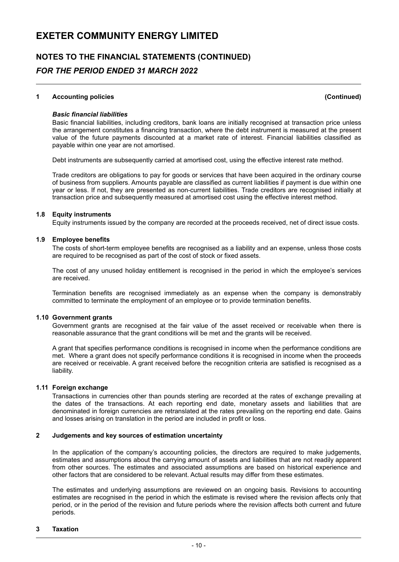# **NOTES TO THE FINANCIAL STATEMENTS (CONTINUED)** *FOR THE PERIOD ENDED 31 MARCH 2022*

#### **1 Accounting policies (Continued)**

#### *Basic financial liabilities*

Basic financial liabilities, including creditors, bank loans are initially recognised at transaction price unless the arrangement constitutes a financing transaction, where the debt instrument is measured at the present value of the future payments discounted at a market rate of interest. Financial liabilities classified as payable within one year are not amortised.

Debt instruments are subsequently carried at amortised cost, using the effective interest rate method.

Trade creditors are obligations to pay for goods or services that have been acquired in the ordinary course of business from suppliers. Amounts payable are classified as current liabilities if payment is due within one year or less. If not, they are presented as non-current liabilities. Trade creditors are recognised initially at transaction price and subsequently measured at amortised cost using the effective interest method.

#### **1.8 Equity instruments**

Equity instruments issued by the company are recorded at the proceeds received, net of direct issue costs.

#### **1.9 Employee benefits**

The costs of short-term employee benefits are recognised as a liability and an expense, unless those costs are required to be recognised as part of the cost of stock or fixed assets.

The cost of any unused holiday entitlement is recognised in the period in which the employee's services are received.

Termination benefits are recognised immediately as an expense when the company is demonstrably committed to terminate the employment of an employee or to provide termination benefits.

#### **1.10 Government grants**

Government grants are recognised at the fair value of the asset received or receivable when there is reasonable assurance that the grant conditions will be met and the grants will be received.

A grant that specifies performance conditions is recognised in income when the performance conditions are met. Where a grant does not specify performance conditions it is recognised in income when the proceeds are received or receivable. A grant received before the recognition criteria are satisfied is recognised as a liability.

#### **1.11 Foreign exchange**

Transactions in currencies other than pounds sterling are recorded at the rates of exchange prevailing at the dates of the transactions. At each reporting end date, monetary assets and liabilities that are denominated in foreign currencies are retranslated at the rates prevailing on the reporting end date. Gains and losses arising on translation in the period are included in profit or loss.

#### **2 Judgements and key sources of estimation uncertainty**

In the application of the company's accounting policies, the directors are required to make judgements, estimates and assumptions about the carrying amount of assets and liabilities that are not readily apparent from other sources. The estimates and associated assumptions are based on historical experience and other factors that are considered to be relevant. Actual results may differ from these estimates.

The estimates and underlying assumptions are reviewed on an ongoing basis. Revisions to accounting estimates are recognised in the period in which the estimate is revised where the revision affects only that period, or in the period of the revision and future periods where the revision affects both current and future periods.

#### **3 Taxation**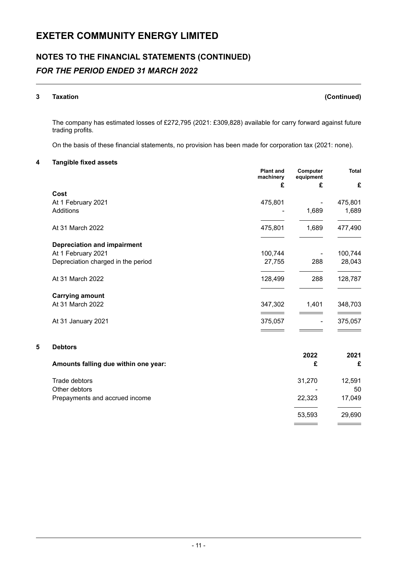# **NOTES TO THE FINANCIAL STATEMENTS (CONTINUED)** *FOR THE PERIOD ENDED 31 MARCH 2022*

#### **3 Taxation (Continued)**

The company has estimated losses of £272,795 (2021: £309,828) available for carry forward against future trading profits.

On the basis of these financial statements, no provision has been made for corporation tax (2021: none).

#### **4 Tangible fixed assets**

|   |                                      | <b>Plant and</b><br>machinery | Computer<br>equipment | <b>Total</b> |
|---|--------------------------------------|-------------------------------|-----------------------|--------------|
|   |                                      | £                             | £                     | £            |
|   | Cost                                 |                               |                       |              |
|   | At 1 February 2021                   | 475,801                       |                       | 475,801      |
|   | Additions                            |                               | 1,689                 | 1,689        |
|   | At 31 March 2022                     | 475,801                       | 1,689                 | 477,490      |
|   | <b>Depreciation and impairment</b>   |                               |                       |              |
|   | At 1 February 2021                   | 100,744                       |                       | 100,744      |
|   | Depreciation charged in the period   | 27,755                        | 288                   | 28,043       |
|   | At 31 March 2022                     | 128,499                       | 288                   | 128,787      |
|   | <b>Carrying amount</b>               |                               |                       |              |
|   | At 31 March 2022                     | 347,302                       | 1,401                 | 348,703      |
|   | At 31 January 2021                   | 375,057                       |                       | 375,057      |
| 5 | <b>Debtors</b>                       |                               |                       |              |
|   |                                      |                               | 2022                  | 2021         |
|   | Amounts falling due within one year: |                               | £                     | £            |
|   | Trade debtors                        |                               | 31,270                | 12,591       |
|   | Other debtors                        |                               |                       | 50           |
|   | Prepayments and accrued income       |                               | 22,323                | 17,049       |
|   |                                      |                               | 53,593                | 29,690       |
|   |                                      |                               |                       |              |